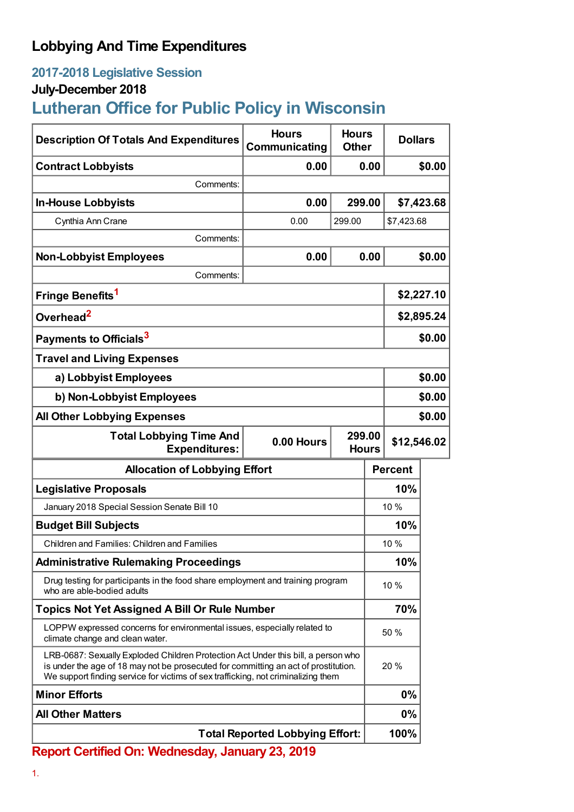# **Lobbying And Time Expenditures**

## **2017-2018 Legislative Session**

### **July-December 2018**

# **Lutheran Office for Public Policy in Wisconsin**

| <b>Description Of Totals And Expenditures</b>                                                                                                                                                                                                                 | <b>Hours</b><br>Communicating | <b>Hours</b><br><b>Dollars</b><br><b>Other</b> |                |            |
|---------------------------------------------------------------------------------------------------------------------------------------------------------------------------------------------------------------------------------------------------------------|-------------------------------|------------------------------------------------|----------------|------------|
| <b>Contract Lobbyists</b>                                                                                                                                                                                                                                     | 0.00                          | 0.00                                           |                | \$0.00     |
| Comments:                                                                                                                                                                                                                                                     |                               |                                                |                |            |
| <b>In-House Lobbyists</b>                                                                                                                                                                                                                                     | 0.00                          | 299.00                                         |                | \$7,423.68 |
| Cynthia Ann Crane                                                                                                                                                                                                                                             | 0.00                          | 299.00                                         | \$7,423.68     |            |
| Comments:                                                                                                                                                                                                                                                     |                               |                                                |                |            |
| <b>Non-Lobbyist Employees</b>                                                                                                                                                                                                                                 | 0.00                          | 0.00                                           |                | \$0.00     |
| Comments:                                                                                                                                                                                                                                                     |                               |                                                |                |            |
| Fringe Benefits <sup>1</sup>                                                                                                                                                                                                                                  |                               |                                                | \$2,227.10     |            |
| Overhead <sup>2</sup>                                                                                                                                                                                                                                         |                               |                                                | \$2,895.24     |            |
| Payments to Officials <sup>3</sup>                                                                                                                                                                                                                            |                               |                                                | \$0.00         |            |
| <b>Travel and Living Expenses</b>                                                                                                                                                                                                                             |                               |                                                |                |            |
| a) Lobbyist Employees                                                                                                                                                                                                                                         |                               |                                                | \$0.00         |            |
| b) Non-Lobbyist Employees                                                                                                                                                                                                                                     |                               |                                                | \$0.00         |            |
| <b>All Other Lobbying Expenses</b>                                                                                                                                                                                                                            |                               |                                                | \$0.00         |            |
| <b>Total Lobbying Time And</b><br><b>Expenditures:</b>                                                                                                                                                                                                        | 0.00 Hours                    | 299.00<br>\$12,546.02<br><b>Hours</b>          |                |            |
| <b>Allocation of Lobbying Effort</b>                                                                                                                                                                                                                          |                               |                                                | <b>Percent</b> |            |
| <b>Legislative Proposals</b>                                                                                                                                                                                                                                  |                               |                                                | 10%            |            |
| January 2018 Special Session Senate Bill 10                                                                                                                                                                                                                   |                               |                                                | 10 %           |            |
| <b>Budget Bill Subjects</b>                                                                                                                                                                                                                                   |                               |                                                | 10%            |            |
| Children and Families: Children and Families                                                                                                                                                                                                                  |                               |                                                | 10 %           |            |
| <b>Administrative Rulemaking Proceedings</b>                                                                                                                                                                                                                  |                               |                                                | 10%            |            |
| Drug testing for participants in the food share employment and training program<br>who are able-bodied adults                                                                                                                                                 |                               |                                                | 10 %           |            |
| <b>Topics Not Yet Assigned A Bill Or Rule Number</b>                                                                                                                                                                                                          |                               |                                                | 70%            |            |
| LOPPW expressed concerns for environmental issues, especially related to<br>climate change and clean water.                                                                                                                                                   |                               |                                                | 50 %           |            |
| LRB-0687: Sexually Exploded Children Protection Act Under this bill, a person who<br>is under the age of 18 may not be prosecuted for committing an act of prostitution.<br>We support finding service for victims of sex trafficking, not criminalizing them |                               |                                                | 20 %           |            |
| <b>Minor Efforts</b>                                                                                                                                                                                                                                          |                               |                                                | 0%             |            |
| <b>All Other Matters</b>                                                                                                                                                                                                                                      |                               |                                                | 0%             |            |
| <b>Total Reported Lobbying Effort:</b>                                                                                                                                                                                                                        |                               |                                                | 100%           |            |

**Report Certified On: Wednesday, January 23, 2019**